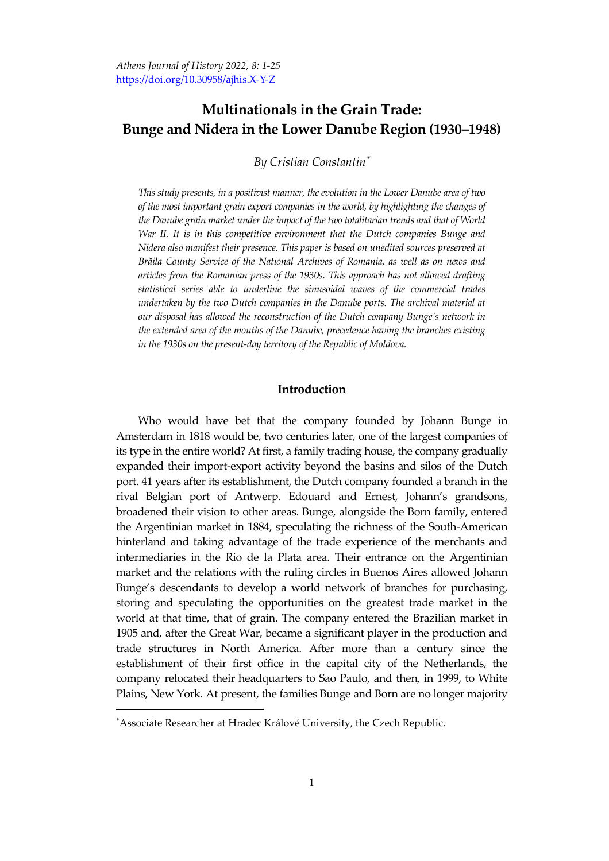# **Multinationals in the Grain Trade: Bunge and Nidera in the Lower Danube Region (1930–1948)**

*By Cristian Constantin*

*This study presents, in a positivist manner, the evolution in the Lower Danube area of two of the most important grain export companies in the world, by highlighting the changes of the Danube grain market under the impact of thetwo totalitarian trends and that of World War II. It is in this competitive environment that the Dutch companies Bunge and Nidera also manifest their presence. This paper is based on unedited sources preserved at Brăila County Service of the National Archives of Romania, as well as on news and articles from the Romanian press of the 1930s. This approach has not allowed drafting statistical series able to underline the sinusoidal waves of the commercial trades undertaken by the two Dutch companies in the Danube ports. The archival material at our disposal has allowed the reconstruction of the Dutch company Bunge's network in the extended area of the mouths of the Danube, precedence having the branches existing in the 1930s on the present-day territory of the Republic of Moldova.*

# **Introduction**

Who would have bet that the company founded by Johann Bunge in Amsterdam in 1818 would be, two centuries later, one of the largest companies of its type in the entire world? At first, a family trading house, the company gradually expanded their import-export activity beyond the basins and silos of the Dutch port. 41 years after its establishment, the Dutch company founded a branch in the rival Belgian port of Antwerp. Edouard and Ernest, Johann's grandsons, broadened their vision to other areas. Bunge, alongside the Born family, entered the Argentinian market in 1884, speculating the richness of the South-American hinterland and taking advantage of the trade experience of the merchants and intermediaries in the Rio de la Plata area. Their entrance on the Argentinian market and the relations with the ruling circles in Buenos Aires allowed Johann Bunge's descendants to develop a world network of branches for purchasing, storing and speculating the opportunities on the greatest trade market in the world at that time, that of grain. The company entered the Brazilian market in 1905 and, after the Great War, became a significant player in the production and trade structures in North America. After more than a century since the establishment of their first office in the capital city of the Netherlands, the company relocated their headquarters to Sao Paulo, and then, in 1999, to White Plains, New York. At present, the families Bunge and Born are no longer majority

Associate Researcher at Hradec Králové University, the Czech Republic.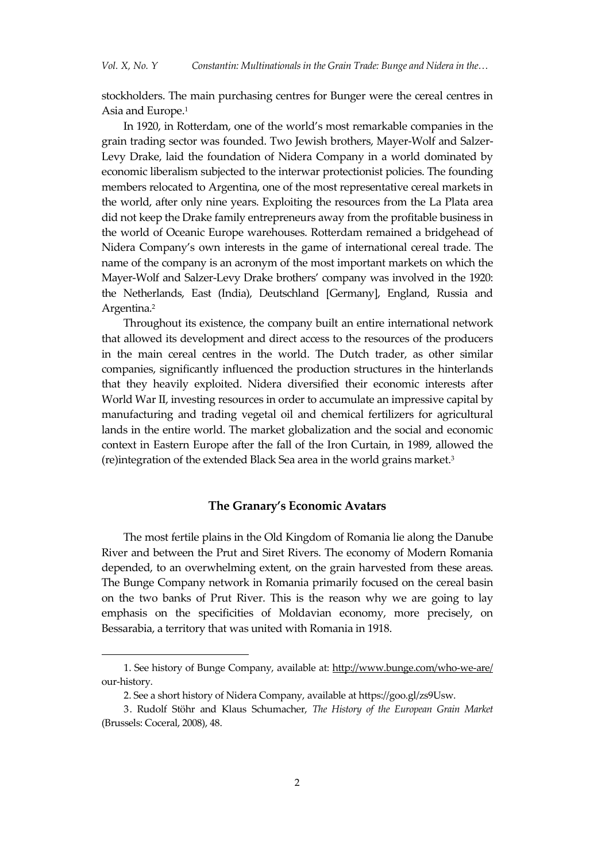stockholders. The main purchasing centres for Bunger were the cereal centres in Asia and Europe. 1

In 1920, in Rotterdam, one of the world's most remarkable companies in the grain trading sector was founded. Two Jewish brothers, Mayer-Wolf and Salzer-Levy Drake, laid the foundation of Nidera Company in a world dominated by economic liberalism subjected to the interwar protectionist policies. The founding members relocated to Argentina, one of the most representative cereal markets in the world, after only nine years. Exploiting the resources from the La Plata area did not keep the Drake family entrepreneurs away from the profitable business in the world of Oceanic Europe warehouses. Rotterdam remained a bridgehead of Nidera Company's own interests in the game of international cereal trade. The name of the company is an acronym of the most important markets on which the Mayer-Wolf and Salzer-Levy Drake brothers' company was involved in the 1920: the Netherlands, East (India), Deutschland [Germany], England, Russia and Argentina. 2

Throughout its existence, the company built an entire international network that allowed its development and direct access to the resources of the producers in the main cereal centres in the world. The Dutch trader, as other similar companies, significantly influenced the production structures in the hinterlands that they heavily exploited. Nidera diversified their economic interests after World War II, investing resources in order to accumulate an impressive capital by manufacturing and trading vegetal oil and chemical fertilizers for agricultural lands in the entire world. The market globalization and the social and economic context in Eastern Europe after the fall of the Iron Curtain, in 1989, allowed the (re)integration of the extended Black Sea area in the world grains market. 3

## **The Granary's Economic Avatars**

The most fertile plains in the Old Kingdom of Romania lie along the Danube River and between the Prut and Siret Rivers. The economy of Modern Romania depended, to an overwhelming extent, on the grain harvested from these areas. The Bunge Company network in Romania primarily focused on the cereal basin on the two banks of Prut River. This is the reason why we are going to lay emphasis on the specificities of Moldavian economy, more precisely, on Bessarabia, a territory that was united with Romania in 1918.

<sup>1.</sup> See history of Bunge Company, available at: <http://www.bunge.com/who-we-are/> our-history.

<sup>2.</sup> See a short history of Nidera Company, available at [https://goo.gl/zs9Usw.](https://goo.gl/zs9usw)

<sup>3.</sup> Rudolf Stöhr and Klaus Schumacher, *The History of the European Grain Market* (Brussels: Coceral, 2008), 48.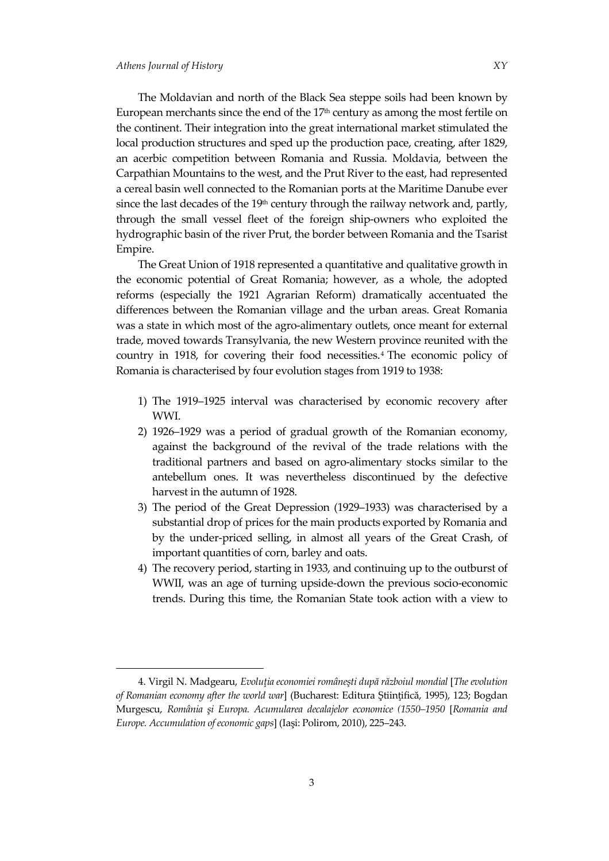$\ddot{\phantom{a}}$ 

The Moldavian and north of the Black Sea steppe soils had been known by European merchants since the end of the  $17<sup>th</sup>$  century as among the most fertile on the continent. Their integration into the great international market stimulated the local production structures and sped up the production pace, creating, after 1829, an acerbic competition between Romania and Russia. Moldavia, between the Carpathian Mountains to the west, and the Prut River to the east, had represented a cereal basin well connected to the Romanian ports at the Maritime Danube ever since the last decades of the  $19<sup>th</sup>$  century through the railway network and, partly, through the small vessel fleet of the foreign ship-owners who exploited the hydrographic basin of the river Prut, the border between Romania and the Tsarist Empire.

The Great Union of 1918 represented a quantitative and qualitative growth in the economic potential of Great Romania; however, as a whole, the adopted reforms (especially the 1921 Agrarian Reform) dramatically accentuated the differences between the Romanian village and the urban areas. Great Romania was a state in which most of the agro-alimentary outlets, once meant for external trade, moved towards Transylvania, the new Western province reunited with the country in 1918, for covering their food necessities. <sup>4</sup> The economic policy of Romania is characterised by four evolution stages from 1919 to 1938:

- 1) The 1919–1925 interval was characterised by economic recovery after WWI.
- 2) 1926–1929 was a period of gradual growth of the Romanian economy, against the background of the revival of the trade relations with the traditional partners and based on agro-alimentary stocks similar to the antebellum ones. It was nevertheless discontinued by the defective harvest in the autumn of 1928.
- 3) The period of the Great Depression (1929–1933) was characterised by a substantial drop of prices for the main products exported by Romania and by the under-priced selling, in almost all years of the Great Crash, of important quantities of corn, barley and oats.
- 4) The recovery period, starting in 1933, and continuing up to the outburst of WWII, was an age of turning upside-down the previous socio-economic trends. During this time, the Romanian State took action with a view to

<sup>4.</sup> Virgil N. Madgearu, *Evoluţia economiei româneşti după războiul mondial* [*The evolution of Romanian economy after the world war*] (Bucharest: Editura Ştiinţifică, 1995), 123; Bogdan Murgescu, *România şi Europa. Acumularea decalajelor economice (1550–1950* [*Romania and Europe. Accumulation of economic gaps*] (Iaşi: Polirom, 2010), 225–243.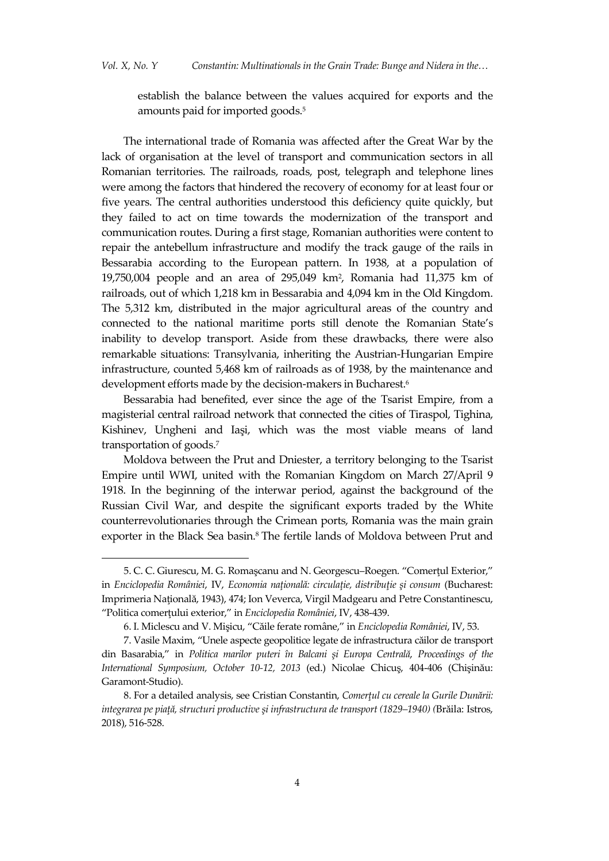establish the balance between the values acquired for exports and the amounts paid for imported goods. 5

The international trade of Romania was affected after the Great War by the lack of organisation at the level of transport and communication sectors in all Romanian territories. The railroads, roads, post, telegraph and telephone lines were among the factors that hindered the recovery of economy for at least four or five years. The central authorities understood this deficiency quite quickly, but they failed to act on time towards the modernization of the transport and communication routes. During a first stage, Romanian authorities were content to repair the antebellum infrastructure and modify the track gauge of the rails in Bessarabia according to the European pattern. In 1938, at a population of 19,750,004 people and an area of 295,049 km<sup>2</sup> , Romania had 11,375 km of railroads, out of which 1,218 km in Bessarabia and 4,094 km in the Old Kingdom. The 5,312 km, distributed in the major agricultural areas of the country and connected to the national maritime ports still denote the Romanian State's inability to develop transport. Aside from these drawbacks, there were also remarkable situations: Transylvania, inheriting the Austrian-Hungarian Empire infrastructure, counted 5,468 km of railroads as of 1938, by the maintenance and development efforts made by the decision-makers in Bucharest. 6

Bessarabia had benefited, ever since the age of the Tsarist Empire, from a magisterial central railroad network that connected the cities of Tiraspol, Tighina, Kishinev, Ungheni and Iaşi, which was the most viable means of land transportation of goods. 7

Moldova between the Prut and Dniester, a territory belonging to the Tsarist Empire until WWI, united with the Romanian Kingdom on March 27/April 9 1918. In the beginning of the interwar period, against the background of the Russian Civil War, and despite the significant exports traded by the White counterrevolutionaries through the Crimean ports, Romania was the main grain exporter in the Black Sea basin. <sup>8</sup> The fertile lands of Moldova between Prut and

<sup>5.</sup> C. C. Giurescu, M. G. Romaşcanu and N. Georgescu–Roegen. 'Comerţul Exterior,' in *Enciclopedia României*, IV, *Economia naţională: circulaţie, distribuţie şi consum* (Bucharest: Imprimeria Naţională, 1943), 474; Ion Veverca, Virgil Madgearu and Petre Constantinescu, 'Politica comerţului exterior,' in *Enciclopedia României*, IV, 438-439.

<sup>6.</sup> I. Miclescu and V. Mişicu, 'Căile ferate române,' in *Enciclopedia României*, IV, 53.

<sup>7.</sup> Vasile Maxim, 'Unele aspecte geopolitice legate de infrastructura căilor de transport din Basarabia,' in *Politica marilor puteri în Balcani şi Europa Centrală*, *Proceedings of the International Symposium, October 10-12, 2013* (ed.) Nicolae Chicuş, 404-406 (Chişinău: Garamont-Studio).

<sup>8.</sup> For a detailed analysis, see Cristian Constantin, *Comerţul cu cereale la Gurile Dunării: integrarea pe piaţă, structuri productive şi infrastructura de transport (1829–1940) (*Brăila: Istros, 2018), 516-528.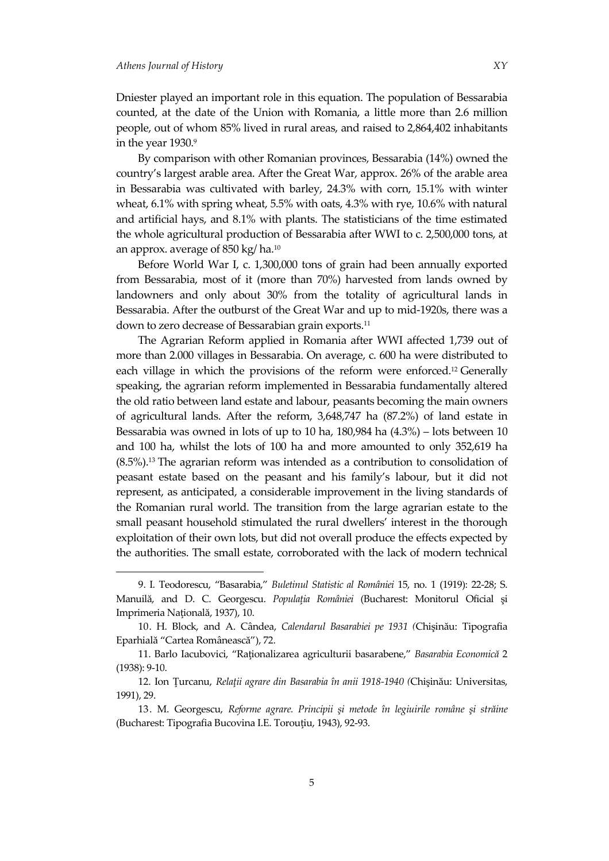$\ddot{\phantom{a}}$ 

Dniester played an important role in this equation. The population of Bessarabia counted, at the date of the Union with Romania, a little more than 2.6 million people, out of whom 85% lived in rural areas, and raised to 2,864,402 inhabitants in the year 1930.9

By comparison with other Romanian provinces, Bessarabia (14%) owned the country's largest arable area. After the Great War, approx. 26% of the arable area in Bessarabia was cultivated with barley, 24.3% with corn, 15.1% with winter wheat, 6.1% with spring wheat, 5.5% with oats, 4.3% with rye, 10.6% with natural and artificial hays, and 8.1% with plants. The statisticians of the time estimated the whole agricultural production of Bessarabia after WWI to c. 2,500,000 tons, at an approx. average of 850 kg/ ha. 10

Before World War I, c. 1,300,000 tons of grain had been annually exported from Bessarabia, most of it (more than 70%) harvested from lands owned by landowners and only about 30% from the totality of agricultural lands in Bessarabia. After the outburst of the Great War and up to mid-1920s, there was a down to zero decrease of Bessarabian grain exports. 11

The Agrarian Reform applied in Romania after WWI affected 1,739 out of more than 2.000 villages in Bessarabia. On average, c. 600 ha were distributed to each village in which the provisions of the reform were enforced. <sup>12</sup> Generally speaking, the agrarian reform implemented in Bessarabia fundamentally altered the old ratio between land estate and labour, peasants becoming the main owners of agricultural lands. After the reform, 3,648,747 ha (87.2%) of land estate in Bessarabia was owned in lots of up to 10 ha, 180,984 ha (4.3%) – lots between 10 and 100 ha, whilst the lots of 100 ha and more amounted to only 352,619 ha (8.5%).<sup>13</sup> The agrarian reform was intended as a contribution to consolidation of peasant estate based on the peasant and his family's labour, but it did not represent, as anticipated, a considerable improvement in the living standards of the Romanian rural world. The transition from the large agrarian estate to the small peasant household stimulated the rural dwellers' interest in the thorough exploitation of their own lots, but did not overall produce the effects expected by the authorities. The small estate, corroborated with the lack of modern technical

<sup>9.</sup> I. Teodorescu, 'Basarabia,' *Buletinul Statistic al României* 15, no. 1 (1919): 22-28; S. Manuilă, and D. C. Georgescu. *Populaţia României* (Bucharest: Monitorul Oficial şi Imprimeria Naţională, 1937), 10.

<sup>10.</sup> H. Block, and A. Cândea, *Calendarul Basarabiei pe 1931 (*Chişinău: Tipografia Eparhială 'Cartea Românească'), 72.

<sup>11.</sup> Barlo Iacubovici, 'Raţionalizarea agriculturii basarabene,' *Basarabia Economică* 2 (1938): 9-10.

<sup>12.</sup> Ion Ţurcanu, *Relaţii agrare din Basarabia în anii 1918-1940 (*Chişinău: Universitas, 1991), 29.

<sup>13.</sup> M. Georgescu, *Reforme agrare. Principii şi metode în legiuirile române şi străine* (Bucharest: Tipografia Bucovina I.E. Torouţiu, 1943), 92-93.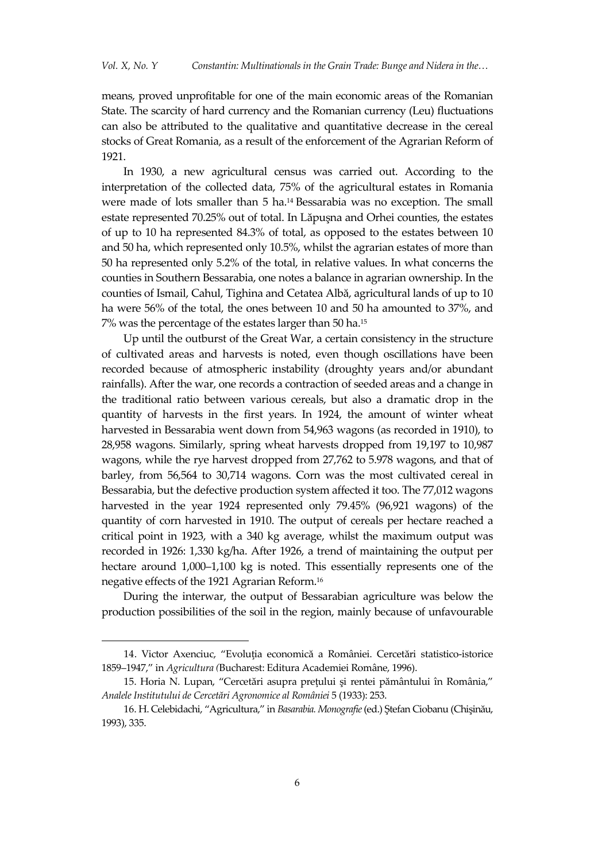means, proved unprofitable for one of the main economic areas of the Romanian State. The scarcity of hard currency and the Romanian currency (Leu) fluctuations can also be attributed to the qualitative and quantitative decrease in the cereal stocks of Great Romania, as a result of the enforcement of the Agrarian Reform of 1921.

In 1930, a new agricultural census was carried out. According to the interpretation of the collected data, 75% of the agricultural estates in Romania were made of lots smaller than 5 ha.<sup>14</sup> Bessarabia was no exception. The small estate represented 70.25% out of total. In Lăpuşna and Orhei counties, the estates of up to 10 ha represented 84.3% of total, as opposed to the estates between 10 and 50 ha, which represented only 10.5%, whilst the agrarian estates of more than 50 ha represented only 5.2% of the total, in relative values. In what concerns the counties in Southern Bessarabia, one notes a balance in agrarian ownership. In the counties of Ismail, Cahul, Tighina and Cetatea Albă, agricultural lands of up to 10 ha were 56% of the total, the ones between 10 and 50 ha amounted to 37%, and 7% was the percentage of the estates larger than 50 ha.<sup>15</sup>

Up until the outburst of the Great War, a certain consistency in the structure of cultivated areas and harvests is noted, even though oscillations have been recorded because of atmospheric instability (droughty years and/or abundant rainfalls). After the war, one records a contraction of seeded areas and a change in the traditional ratio between various cereals, but also a dramatic drop in the quantity of harvests in the first years. In 1924, the amount of winter wheat harvested in Bessarabia went down from 54,963 wagons (as recorded in 1910), to 28,958 wagons. Similarly, spring wheat harvests dropped from 19,197 to 10,987 wagons, while the rye harvest dropped from 27,762 to 5.978 wagons, and that of barley, from 56,564 to 30,714 wagons. Corn was the most cultivated cereal in Bessarabia, but the defective production system affected it too. The 77,012 wagons harvested in the year 1924 represented only 79.45% (96,921 wagons) of the quantity of corn harvested in 1910. The output of cereals per hectare reached a critical point in 1923, with a 340 kg average, whilst the maximum output was recorded in 1926: 1,330 kg/ha. After 1926, a trend of maintaining the output per hectare around 1,000–1,100 kg is noted. This essentially represents one of the negative effects of the 1921 Agrarian Reform. 16

During the interwar, the output of Bessarabian agriculture was below the production possibilities of the soil in the region, mainly because of unfavourable

<sup>14.</sup> Victor Axenciuc, 'Evoluţia economică a României. Cercetări statistico-istorice 1859–1947,' in *Agricultura (*Bucharest: Editura Academiei Române, 1996).

<sup>15.</sup> Horia N. Lupan, 'Cercetări asupra preţului şi rentei pământului în România,' *Analele Institutului de Cercetări Agronomice al României* 5 (1933): 253.

<sup>16.</sup> H. Celebidachi, 'Agricultura,' in *Basarabia. Monografie*(ed.) Ştefan Ciobanu (Chişinău, 1993), 335.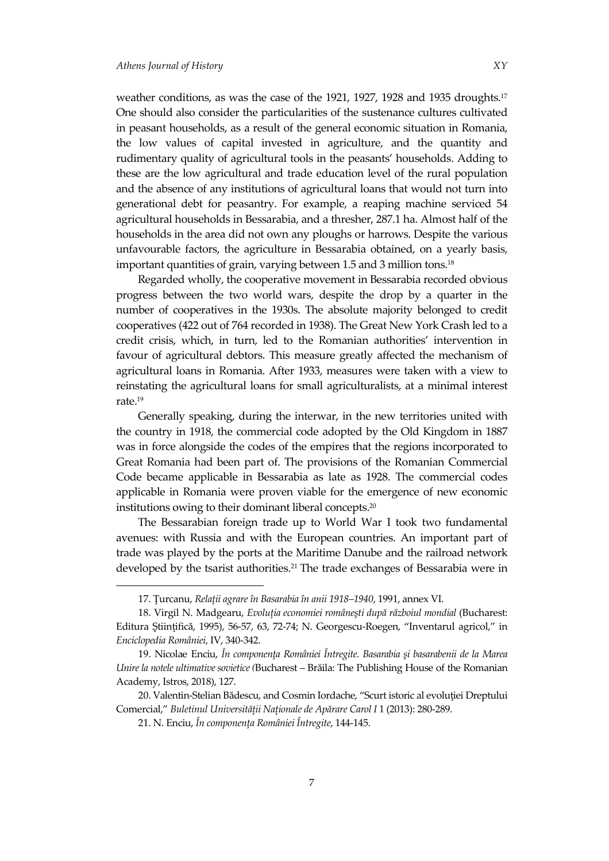1

weather conditions, as was the case of the 1921, 1927, 1928 and 1935 droughts. 17 One should also consider the particularities of the sustenance cultures cultivated in peasant households, as a result of the general economic situation in Romania, the low values of capital invested in agriculture, and the quantity and rudimentary quality of agricultural tools in the peasants' households. Adding to these are the low agricultural and trade education level of the rural population and the absence of any institutions of agricultural loans that would not turn into generational debt for peasantry. For example, a reaping machine serviced 54 agricultural households in Bessarabia, and a thresher, 287.1 ha. Almost half of the households in the area did not own any ploughs or harrows. Despite the various unfavourable factors, the agriculture in Bessarabia obtained, on a yearly basis, important quantities of grain, varying between 1.5 and 3 million tons. 18

Regarded wholly, the cooperative movement in Bessarabia recorded obvious progress between the two world wars, despite the drop by a quarter in the number of cooperatives in the 1930s. The absolute majority belonged to credit cooperatives (422 out of 764 recorded in 1938). The Great New York Crash led to a credit crisis, which, in turn, led to the Romanian authorities' intervention in favour of agricultural debtors. This measure greatly affected the mechanism of agricultural loans in Romania. After 1933, measures were taken with a view to reinstating the agricultural loans for small agriculturalists, at a minimal interest rate. 19

Generally speaking, during the interwar, in the new territories united with the country in 1918, the commercial code adopted by the Old Kingdom in 1887 was in force alongside the codes of the empires that the regions incorporated to Great Romania had been part of. The provisions of the Romanian Commercial Code became applicable in Bessarabia as late as 1928. The commercial codes applicable in Romania were proven viable for the emergence of new economic institutions owing to their dominant liberal concepts. 20

The Bessarabian foreign trade up to World War I took two fundamental avenues: with Russia and with the European countries. An important part of trade was played by the ports at the Maritime Danube and the railroad network developed by the tsarist authorities. <sup>21</sup> The trade exchanges of Bessarabia were in

<sup>17.</sup> Ţurcanu, *Relaţii agrare în Basarabia în anii 1918–1940*, 1991, annex VI.

<sup>18.</sup> Virgil N. Madgearu, *Evoluţia economiei româneşti după războiul mondial* (Bucharest: Editura Ştiinţifică, 1995), 56-57, 63, 72-74; N. Georgescu-Roegen, 'Inventarul agricol,' in *Enciclopedia României*, IV, 340-342.

<sup>19.</sup> Nicolae Enciu, *În componenţa României Întregite. Basarabia şi basarabenii de la Marea Unire la notele ultimative sovietice (*Bucharest – Brăila: The Publishing House of the Romanian Academy, Istros, 2018), 127.

<sup>20.</sup> Valentin-Stelian Bădescu, and Cosmin Iordache, 'Scurt istoric al evoluţiei Dreptului Comercial,' *Buletinul Universităţii Naţionale de Apărare Carol I* 1 (2013): 280-289.

<sup>21.</sup> N. Enciu, *În componenţa României Întregite*, 144-145.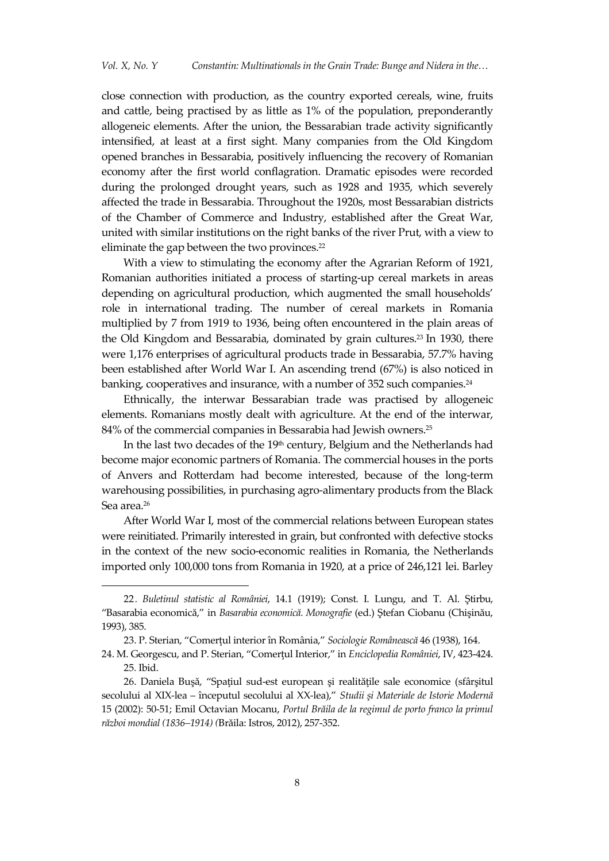close connection with production, as the country exported cereals, wine, fruits and cattle, being practised by as little as 1% of the population, preponderantly allogeneic elements. After the union, the Bessarabian trade activity significantly intensified, at least at a first sight. Many companies from the Old Kingdom opened branches in Bessarabia, positively influencing the recovery of Romanian economy after the first world conflagration. Dramatic episodes were recorded during the prolonged drought years, such as 1928 and 1935, which severely affected the trade in Bessarabia. Throughout the 1920s, most Bessarabian districts of the Chamber of Commerce and Industry, established after the Great War, united with similar institutions on the right banks of the river Prut, with a view to eliminate the gap between the two provinces. 22

With a view to stimulating the economy after the Agrarian Reform of 1921, Romanian authorities initiated a process of starting-up cereal markets in areas depending on agricultural production, which augmented the small households' role in international trading. The number of cereal markets in Romania multiplied by 7 from 1919 to 1936, being often encountered in the plain areas of the Old Kingdom and Bessarabia, dominated by grain cultures. <sup>23</sup> In 1930, there were 1,176 enterprises of agricultural products trade in Bessarabia, 57.7% having been established after World War I. An ascending trend (67%) is also noticed in banking, cooperatives and insurance, with a number of 352 such companies. 24

Ethnically, the interwar Bessarabian trade was practised by allogeneic elements. Romanians mostly dealt with agriculture. At the end of the interwar, 84% of the commercial companies in Bessarabia had Jewish owners. 25

In the last two decades of the 19<sup>th</sup> century, Belgium and the Netherlands had become major economic partners of Romania. The commercial houses in the ports of Anvers and Rotterdam had become interested, because of the long-term warehousing possibilities, in purchasing agro-alimentary products from the Black Sea area. 26

After World War I, most of the commercial relations between European states were reinitiated. Primarily interested in grain, but confronted with defective stocks in the context of the new socio-economic realities in Romania, the Netherlands imported only 100,000 tons from Romania in 1920, at a price of 246,121 lei. Barley

<sup>22</sup>*. Buletinul statistic al României*, 14.1 (1919); Const. I. Lungu, and T. Al. Ştirbu, 'Basarabia economică,' in *Basarabia economică. Monografie* (ed.) Ştefan Ciobanu (Chişinău, 1993), 385.

<sup>23.</sup> P. Sterian, 'Comerţul interior în România,' *Sociologie Românească* 46 (1938), 164.

<sup>24.</sup> M. Georgescu, and P. Sterian, 'Comerţul Interior,' in *Enciclopedia României*, IV, 423-424. 25*.* Ibid.

<sup>26.</sup> Daniela Buşă, 'Spaţiul sud-est european şi realităţile sale economice (sfârşitul secolului al XIX-lea – începutul secolului al XX-lea),' *Studii şi Materiale de Istorie Modernă* 15 (2002): 50-51; Emil Octavian Mocanu, *Portul Brăila de la regimul de porto franco la primul război mondial (1836–1914) (*Brăila: Istros, 2012), 257-352.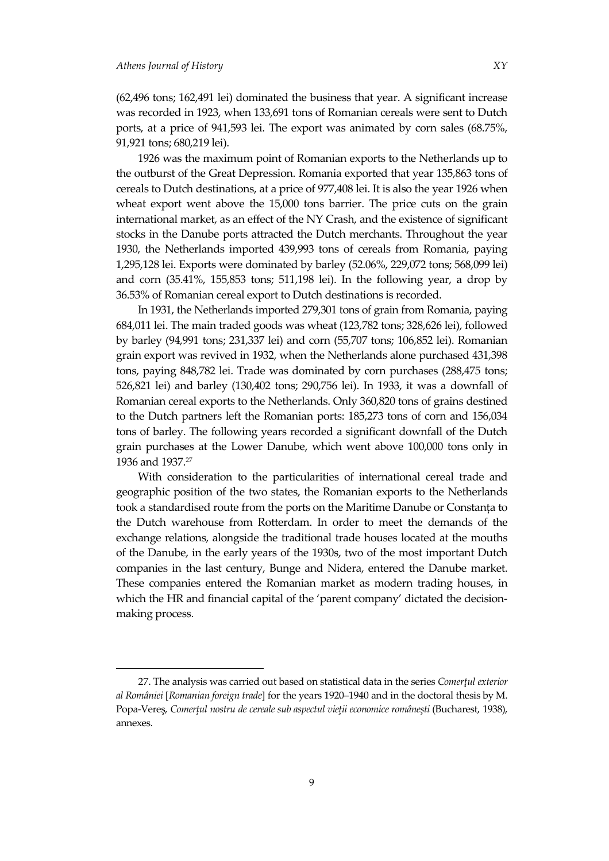$\ddot{\phantom{a}}$ 

(62,496 tons; 162,491 lei) dominated the business that year. A significant increase was recorded in 1923, when 133,691 tons of Romanian cereals were sent to Dutch ports, at a price of 941,593 lei. The export was animated by corn sales (68.75%, 91,921 tons; 680,219 lei).

1926 was the maximum point of Romanian exports to the Netherlands up to the outburst of the Great Depression. Romania exported that year 135,863 tons of cereals to Dutch destinations, at a price of 977,408 lei. It is also the year 1926 when wheat export went above the 15,000 tons barrier. The price cuts on the grain international market, as an effect of the NY Crash, and the existence of significant stocks in the Danube ports attracted the Dutch merchants. Throughout the year 1930, the Netherlands imported 439,993 tons of cereals from Romania, paying 1,295,128 lei. Exports were dominated by barley (52.06%, 229,072 tons; 568,099 lei) and corn (35.41%, 155,853 tons; 511,198 lei). In the following year, a drop by 36.53% of Romanian cereal export to Dutch destinations is recorded.

In 1931, the Netherlands imported 279,301 tons of grain from Romania, paying 684,011 lei. The main traded goods was wheat (123,782 tons; 328,626 lei), followed by barley (94,991 tons; 231,337 lei) and corn (55,707 tons; 106,852 lei). Romanian grain export was revived in 1932, when the Netherlands alone purchased 431,398 tons, paying 848,782 lei. Trade was dominated by corn purchases (288,475 tons; 526,821 lei) and barley (130,402 tons; 290,756 lei). In 1933, it was a downfall of Romanian cereal exports to the Netherlands. Only 360,820 tons of grains destined to the Dutch partners left the Romanian ports: 185,273 tons of corn and 156,034 tons of barley. The following years recorded a significant downfall of the Dutch grain purchases at the Lower Danube, which went above 100,000 tons only in 1936 and 1937. 27

With consideration to the particularities of international cereal trade and geographic position of the two states, the Romanian exports to the Netherlands took a standardised route from the ports on the Maritime Danube or Constanța to the Dutch warehouse from Rotterdam. In order to meet the demands of the exchange relations, alongside the traditional trade houses located at the mouths of the Danube, in the early years of the 1930s, two of the most important Dutch companies in the last century, Bunge and Nidera, entered the Danube market. These companies entered the Romanian market as modern trading houses, in which the HR and financial capital of the 'parent company' dictated the decisionmaking process.

<sup>27.</sup> The analysis was carried out based on statistical data in the series *Comerţul exterior al României* [*Romanian foreign trade*] for the years 1920–1940 and in the doctoral thesis by M. Popa-Vereş, *Comerţul nostru de cereale sub aspectul vieţii economice româneşti* (Bucharest, 1938), annexes.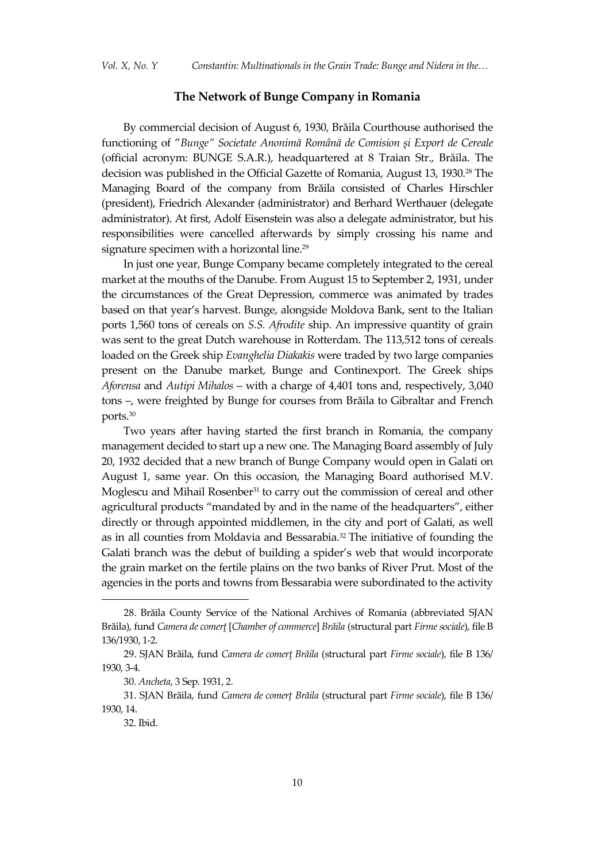#### **The Network of Bunge Company in Romania**

By commercial decision of August 6, 1930, Brăila Courthouse authorised the functioning of '*Bunge" Societate Anonimă Română de Comision şi Export de Cereale* (official acronym: BUNGE S.A.R.), headquartered at 8 Traian Str., Brăila. The decision was published in the Official Gazette of Romania, August 13, 1930.<sup>28</sup> The Managing Board of the company from Brăila consisted of Charles Hirschler (president), Friedrich Alexander (administrator) and Berhard Werthauer (delegate administrator). At first, Adolf Eisenstein was also a delegate administrator, but his responsibilities were cancelled afterwards by simply crossing his name and signature specimen with a horizontal line. 29

In just one year, Bunge Company became completely integrated to the cereal market at the mouths of the Danube. From August 15 to September 2, 1931, under the circumstances of the Great Depression, commerce was animated by trades based on that year's harvest. Bunge, alongside Moldova Bank, sent to the Italian ports 1,560 tons of cereals on *S.S. Afrodite* ship. An impressive quantity of grain was sent to the great Dutch warehouse in Rotterdam. The 113,512 tons of cereals loaded on the Greek ship *Evanghelia Diakakis* were traded by two large companies present on the Danube market, Bunge and Continexport. The Greek ships *Aforensa* and *Autipi Mihalos* – with a charge of 4,401 tons and, respectively, 3,040 tons –, were freighted by Bunge for courses from Brăila to Gibraltar and French ports. 30

Two years after having started the first branch in Romania, the company management decided to start up a new one. The Managing Board assembly of July 20, 1932 decided that a new branch of Bunge Company would open in Galati on August 1, same year. On this occasion, the Managing Board authorised M.V. Moglescu and Mihail Rosenber<sup>31</sup> to carry out the commission of cereal and other agricultural products 'mandated by and in the name of the headquarters', either directly or through appointed middlemen, in the city and port of Galati, as well as in all counties from Moldavia and Bessarabia. <sup>32</sup> The initiative of founding the Galati branch was the debut of building a spider's web that would incorporate the grain market on the fertile plains on the two banks of River Prut. Most of the agencies in the ports and towns from Bessarabia were subordinated to the activity

<sup>28.</sup> Brăila County Service of the National Archives of Romania (abbreviated SJAN Brăila), fund *Camera de comerţ* [*Chamber of commerce*] *Brăila* (structural part *Firmesociale*), file B 136/1930, 1-2.

<sup>29.</sup> SJAN Brăila, fund *Camera de comerţ Brăila* (structural part *Firme sociale*), file B 136/ 1930, 3-4.

<sup>30</sup>*. Ancheta*, 3 Sep. 1931, 2.

<sup>31.</sup> SJAN Brăila, fund *Camera de comerț Brăila* (structural part *Firme sociale*), file B 136/ 1930, 14.

<sup>32</sup>*.* Ibid.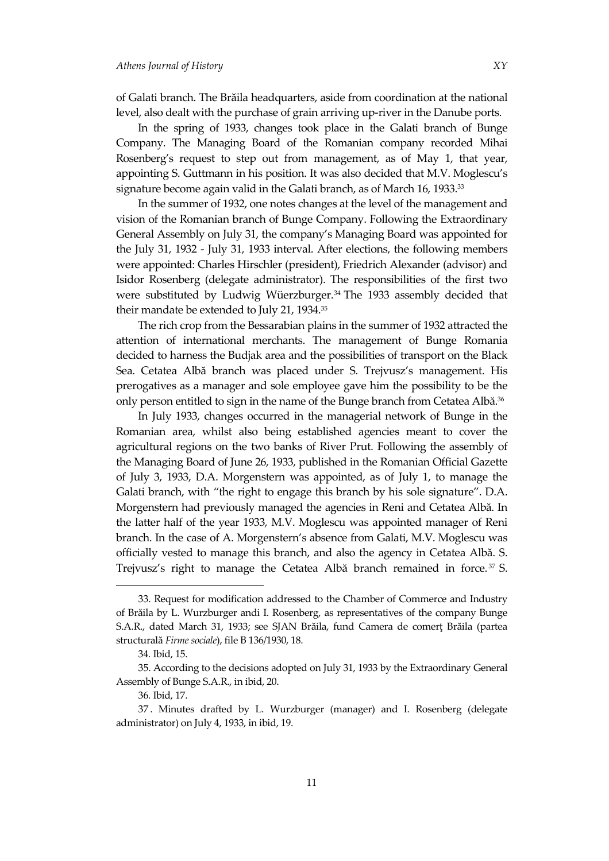of Galati branch. The Brăila headquarters, aside from coordination at the national level, also dealt with the purchase of grain arriving up-river in the Danube ports.

In the spring of 1933, changes took place in the Galati branch of Bunge Company. The Managing Board of the Romanian company recorded Mihai Rosenberg's request to step out from management, as of May 1, that year, appointing S. Guttmann in his position. It was also decided that M.V. Moglescu's signature become again valid in the Galati branch, as of March 16, 1933.<sup>33</sup>

In the summer of 1932, one notes changes at the level of the management and vision of the Romanian branch of Bunge Company. Following the Extraordinary General Assembly on July 31, the company's Managing Board was appointed for the July 31, 1932 - July 31, 1933 interval. After elections, the following members were appointed: Charles Hirschler (president), Friedrich Alexander (advisor) and Isidor Rosenberg (delegate administrator). The responsibilities of the first two were substituted by Ludwig Wüerzburger.<sup>34</sup> The 1933 assembly decided that their mandate be extended to July 21, 1934. 35

The rich crop from the Bessarabian plains in the summer of 1932 attracted the attention of international merchants. The management of Bunge Romania decided to harness the Budjak area and the possibilities of transport on the Black Sea. Cetatea Albă branch was placed under S. Trejvusz's management. His prerogatives as a manager and sole employee gave him the possibility to be the only person entitled to sign in the name of the Bunge branch from Cetatea Albă. 36

In July 1933, changes occurred in the managerial network of Bunge in the Romanian area, whilst also being established agencies meant to cover the agricultural regions on the two banks of River Prut. Following the assembly of the Managing Board of June 26, 1933, published in the Romanian Official Gazette of July 3, 1933, D.A. Morgenstern was appointed, as of July 1, to manage the Galati branch, with "the right to engage this branch by his sole signature". D.A. Morgenstern had previously managed the agencies in Reni and Cetatea Albă. In the latter half of the year 1933, M.V. Moglescu was appointed manager of Reni branch. In the case of A. Morgenstern's absence from Galati, M.V. Moglescu was officially vested to manage this branch, and also the agency in Cetatea Albă. S. Trejvusz's right to manage the Cetatea Albă branch remained in force. <sup>37</sup> S.

<sup>33.</sup> Request for modification addressed to the Chamber of Commerce and Industry of Brăila by L. Wurzburger andi I. Rosenberg, as representatives of the company Bunge S.A.R., dated March 31, 1933; see SJAN Brăila, fund Camera de comert Brăila (partea structurală *Firme sociale*), file B 136/1930, 18.

<sup>34</sup>*.* Ibid, 15.

<sup>35.</sup> According to the decisions adopted on July 31, 1933 by the Extraordinary General Assembly of Bunge S.A.R., in ibid, 20.

<sup>36</sup>*.* Ibid, 17.

<sup>37</sup> . Minutes drafted by L. Wurzburger (manager) and I. Rosenberg (delegate administrator) on July 4, 1933, in ibid, 19.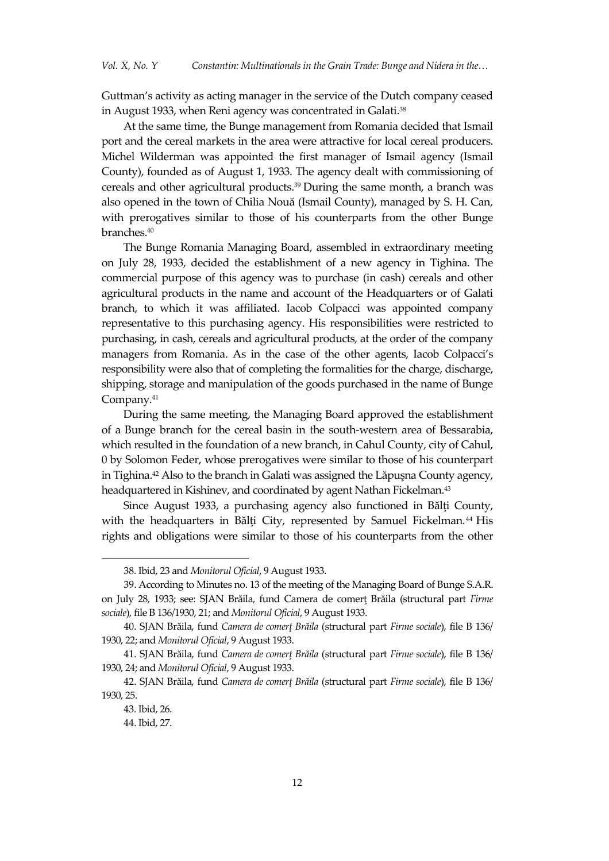Guttman's activity as acting manager in the service of the Dutch company ceased in August 1933, when Reni agency was concentrated in Galati. 38

At the same time, the Bunge management from Romania decided that Ismail port and the cereal markets in the area were attractive for local cereal producers. Michel Wilderman was appointed the first manager of Ismail agency (Ismail County), founded as of August 1, 1933. The agency dealt with commissioning of cereals and other agricultural products. <sup>39</sup> During the same month, a branch was also opened in the town of Chilia Nouă (Ismail County), managed by S. H. Can, with prerogatives similar to those of his counterparts from the other Bunge branches. 40

The Bunge Romania Managing Board, assembled in extraordinary meeting on July 28, 1933, decided the establishment of a new agency in Tighina. The commercial purpose of this agency was to purchase (in cash) cereals and other agricultural products in the name and account of the Headquarters or of Galati branch, to which it was affiliated. Iacob Colpacci was appointed company representative to this purchasing agency. His responsibilities were restricted to purchasing, in cash, cereals and agricultural products, at the order of the company managers from Romania. As in the case of the other agents, Iacob Colpacci's responsibility were also that of completing the formalities for the charge, discharge, shipping, storage and manipulation of the goods purchased in the name of Bunge Company. 41

During the same meeting, the Managing Board approved the establishment of a Bunge branch for the cereal basin in the south-western area of Bessarabia, which resulted in the foundation of a new branch, in Cahul County, city of Cahul, 0 by Solomon Feder, whose prerogatives were similar to those of his counterpart in Tighina.<sup>42</sup> Also to the branch in Galati was assigned the Lăpuşna County agency, headquartered in Kishinev, and coordinated by agent Nathan Fickelman.<sup>43</sup>

Since August 1933, a purchasing agency also functioned in Bălţi County, with the headquarters in Bălți City, represented by Samuel Fickelman.<sup>44</sup> His rights and obligations were similar to those of his counterparts from the other

<sup>38</sup>*.* Ibid, 23 and *Monitorul Oficial*, 9 August 1933.

<sup>39.</sup> According to Minutes no. 13 of the meeting of the Managing Board of Bunge S.A.R. on July 28, 1933; see: SJAN Brăila, fund Camera de comerţ Brăila (structural part *Firme sociale*), file B 136/1930, 21; and *Monitorul Oficial*, 9 August 1933.

<sup>40.</sup> SJAN Brăila, fund *Camera de comerţ Brăila* (structural part *Firme sociale*), file B 136/ 1930, 22; and *Monitorul Oficial*, 9 August 1933.

<sup>41.</sup> SJAN Brăila, fund *Camera de comerţ Brăila* (structural part *Firme sociale*), file B 136/ 1930, 24; and *Monitorul Oficial*, 9 August 1933.

<sup>42.</sup> SJAN Brăila, fund *Camera de comerţ Brăila* (structural part *Firme sociale*), file B 136/ 1930, 25.

<sup>43</sup>*.* Ibid, 26.

<sup>44.</sup> Ibid, 27.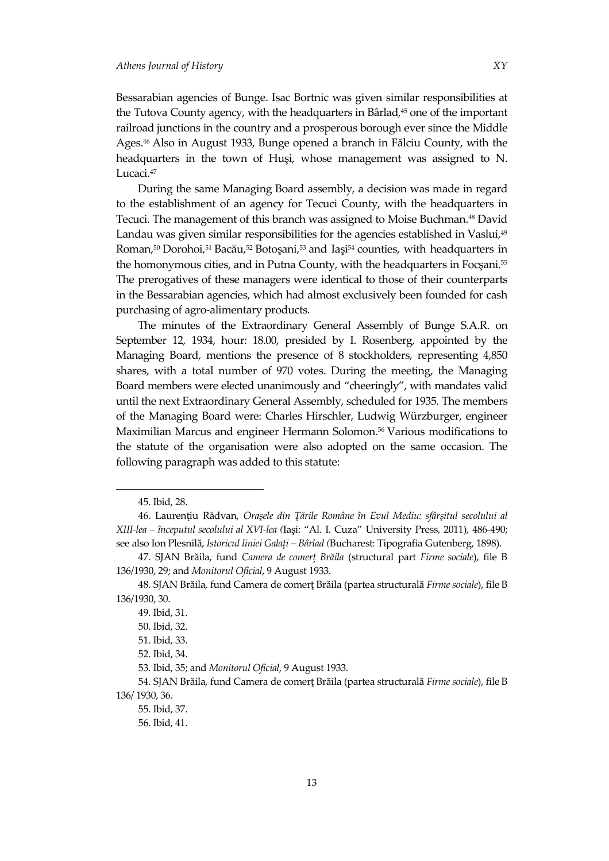Bessarabian agencies of Bunge. Isac Bortnic was given similar responsibilities at the Tutova County agency, with the headquarters in Bârlad,<sup>45</sup> one of the important railroad junctions in the country and a prosperous borough ever since the Middle Ages. <sup>46</sup> Also in August 1933, Bunge opened a branch in Fălciu County, with the headquarters in the town of Huşi, whose management was assigned to N. Lucaci.<sup>47</sup>

During the same Managing Board assembly, a decision was made in regard to the establishment of an agency for Tecuci County, with the headquarters in Tecuci. The management of this branch was assigned to Moise Buchman.<sup>48</sup> David Landau was given similar responsibilities for the agencies established in Vaslui,<sup>49</sup> Roman,<sup>50</sup> Dorohoi,<sup>51</sup> Bacău,<sup>52</sup> Botoşani, <sup>53</sup> and Iaşi <sup>54</sup> counties, with headquarters in the homonymous cities, and in Putna County, with the headquarters in Focşani.<sup>55</sup> The prerogatives of these managers were identical to those of their counterparts in the Bessarabian agencies, which had almost exclusively been founded for cash purchasing of agro-alimentary products.

The minutes of the Extraordinary General Assembly of Bunge S.A.R. on September 12, 1934, hour: 18.00, presided by I. Rosenberg, appointed by the Managing Board, mentions the presence of 8 stockholders, representing 4,850 shares, with a total number of 970 votes. During the meeting, the Managing Board members were elected unanimously and 'cheeringly', with mandates valid until the next Extraordinary General Assembly, scheduled for 1935. The members of the Managing Board were: Charles Hirschler, Ludwig Würzburger, engineer Maximilian Marcus and engineer Hermann Solomon.<sup>56</sup> Various modifications to the statute of the organisation were also adopted on the same occasion. The following paragraph was added to this statute:

<sup>45.</sup> Ibid, 28.

<sup>46.</sup> Laurenţiu Rădvan, *Oraşele din Ţările Române în Evul Mediu: sfârşitul secolului al XIII-lea – începutul secolului al XVI-lea (*Iaşi: 'Al. I. Cuza' University Press, 2011), 486-490; see also Ion Plesnilă, *Istoricul liniei Galaţi – Bârlad (*Bucharest: Tipografia Gutenberg, 1898).

<sup>47.</sup> SJAN Brăila, fund *Camera de comerţ Brăila* (structural part *Firme sociale*), file B 136/1930, 29; and *Monitorul Oficial*, 9 August 1933.

<sup>48.</sup> SJAN Brăila, fund Camera de comerţ Brăila (partea structurală *Firme sociale*), file B 136/1930, 30.

<sup>49</sup>*.* Ibid, 31.

<sup>50</sup>*.* Ibid, 32.

<sup>51.</sup> Ibid, 33.

<sup>52.</sup> Ibid, 34.

<sup>53</sup>*.* Ibid, 35; and *Monitorul Oficial*, 9 August 1933.

<sup>54.</sup> SJAN Brăila, fund Camera de comerţ Brăila (partea structurală *Firme sociale*), file B 136/ 1930, 36.

<sup>55</sup>*.* Ibid, 37.

<sup>56.</sup> Ibid, 41.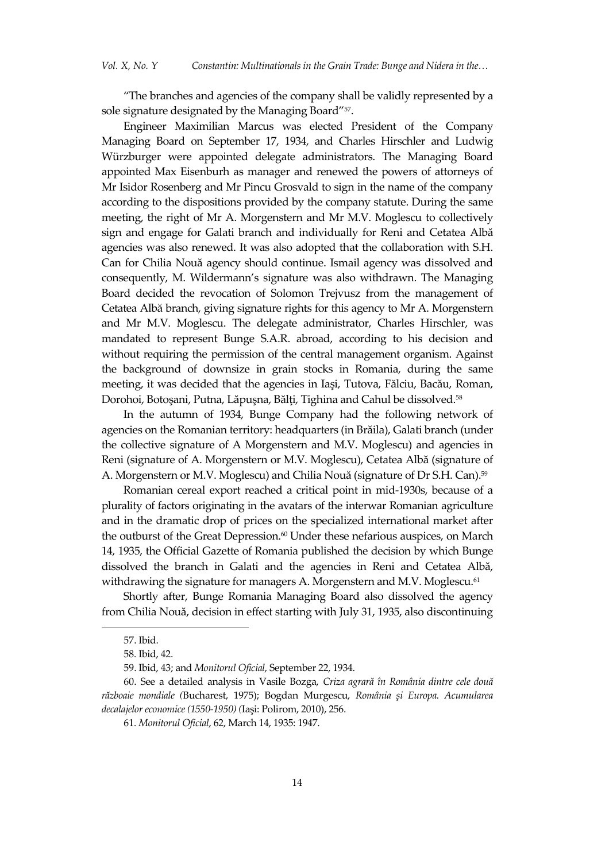'The branches and agencies of the company shall be validly represented by a sole signature designated by the Managing Board' 57 .

Engineer Maximilian Marcus was elected President of the Company Managing Board on September 17, 1934, and Charles Hirschler and Ludwig Würzburger were appointed delegate administrators. The Managing Board appointed Max Eisenburh as manager and renewed the powers of attorneys of Mr Isidor Rosenberg and Mr Pincu Grosvald to sign in the name of the company according to the dispositions provided by the company statute. During the same meeting, the right of Mr A. Morgenstern and Mr M.V. Moglescu to collectively sign and engage for Galati branch and individually for Reni and Cetatea Albă agencies was also renewed. It was also adopted that the collaboration with S.H. Can for Chilia Nouă agency should continue. Ismail agency was dissolved and consequently, M. Wildermann's signature was also withdrawn. The Managing Board decided the revocation of Solomon Trejvusz from the management of Cetatea Albă branch, giving signature rights for this agency to Mr A. Morgenstern and Mr M.V. Moglescu. The delegate administrator, Charles Hirschler, was mandated to represent Bunge S.A.R. abroad, according to his decision and without requiring the permission of the central management organism. Against the background of downsize in grain stocks in Romania, during the same meeting, it was decided that the agencies in Iaşi, Tutova, Fălciu, Bacău, Roman, Dorohoi, Botoşani, Putna, Lăpuşna, Bălţi, Tighina and Cahul be dissolved. 58

In the autumn of 1934, Bunge Company had the following network of agencies on the Romanian territory: headquarters (in Brăila), Galati branch (under the collective signature of A Morgenstern and M.V. Moglescu) and agencies in Reni (signature of A. Morgenstern or M.V. Moglescu), Cetatea Albă (signature of A. Morgenstern or M.V. Moglescu) and Chilia Nouă (signature of Dr S.H. Can).<sup>59</sup>

Romanian cereal export reached a critical point in mid-1930s, because of a plurality of factors originating in the avatars of the interwar Romanian agriculture and in the dramatic drop of prices on the specialized international market after the outburst of the Great Depression. <sup>60</sup> Under these nefarious auspices, on March 14, 1935, the Official Gazette of Romania published the decision by which Bunge dissolved the branch in Galati and the agencies in Reni and Cetatea Albă, withdrawing the signature for managers A. Morgenstern and M.V. Moglescu.<sup>61</sup>

Shortly after, Bunge Romania Managing Board also dissolved the agency from Chilia Nouă, decision in effect starting with July 31, 1935, also discontinuing

<sup>57.</sup> Ibid.

<sup>58</sup>*.* Ibid, 42.

<sup>59.</sup> Ibid, 43; and *Monitorul Oficial*, September 22, 1934.

<sup>60.</sup> See a detailed analysis in Vasile Bozga, *Criza agrară în România dintre cele două războaie mondiale (*Bucharest, 1975); Bogdan Murgescu, *România şi Europa. Acumularea decalajelor economice (1550-1950) (*Iaşi: Polirom, 2010), 256.

<sup>61</sup>*. Monitorul Oficial*, 62, March 14, 1935: 1947.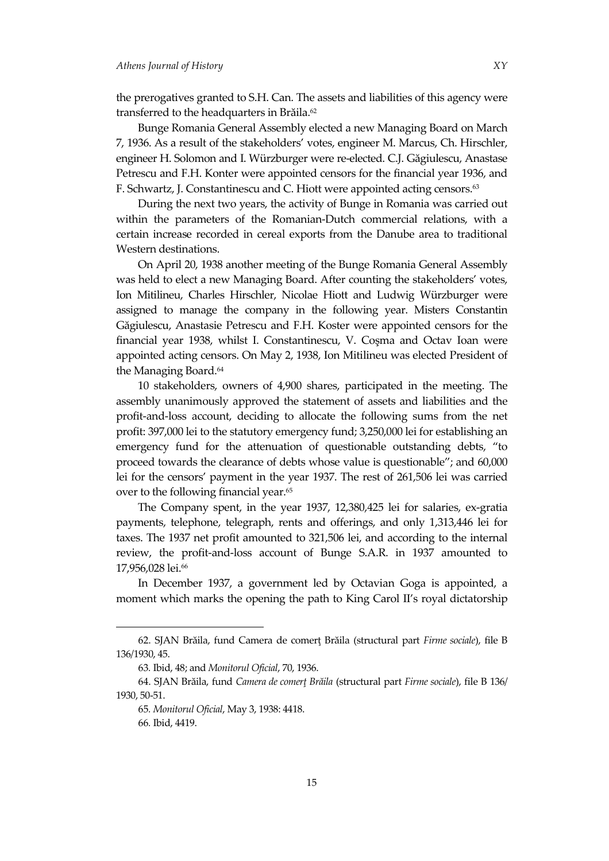the prerogatives granted to S.H. Can. The assets and liabilities of this agency were transferred to the headquarters in Brăila. 62

Bunge Romania General Assembly elected a new Managing Board on March 7, 1936. As a result of the stakeholders' votes, engineer M. Marcus, Ch. Hirschler, engineer H. Solomon and I. Würzburger were re-elected. C.J. Găgiulescu, Anastase Petrescu and F.H. Konter were appointed censors for the financial year 1936, and F. Schwartz, J. Constantinescu and C. Hiott were appointed acting censors. 63

During the next two years, the activity of Bunge in Romania was carried out within the parameters of the Romanian-Dutch commercial relations, with a certain increase recorded in cereal exports from the Danube area to traditional Western destinations.

On April 20, 1938 another meeting of the Bunge Romania General Assembly was held to elect a new Managing Board. After counting the stakeholders' votes, Ion Mitilineu, Charles Hirschler, Nicolae Hiott and Ludwig Würzburger were assigned to manage the company in the following year. Misters Constantin Găgiulescu, Anastasie Petrescu and F.H. Koster were appointed censors for the financial year 1938, whilst I. Constantinescu, V. Coşma and Octav Ioan were appointed acting censors. On May 2, 1938, Ion Mitilineu was elected President of the Managing Board. 64

10 stakeholders, owners of 4,900 shares, participated in the meeting. The assembly unanimously approved the statement of assets and liabilities and the profit-and-loss account, deciding to allocate the following sums from the net profit: 397,000 lei to the statutory emergency fund; 3,250,000 lei for establishing an emergency fund for the attenuation of questionable outstanding debts, 'to proceed towards the clearance of debts whose value is questionable'; and 60,000 lei for the censors' payment in the year 1937. The rest of 261,506 lei was carried over to the following financial year. 65

The Company spent, in the year 1937, 12,380,425 lei for salaries, ex-gratia payments, telephone, telegraph, rents and offerings, and only 1,313,446 lei for taxes. The 1937 net profit amounted to 321,506 lei, and according to the internal review, the profit-and-loss account of Bunge S.A.R. in 1937 amounted to 17,956,028 lei.<sup>66</sup>

In December 1937, a government led by Octavian Goga is appointed, a moment which marks the opening the path to King Carol II's royal dictatorship

<sup>62.</sup> SJAN Brăila, fund Camera de comerţ Brăila (structural part *Firme sociale*), file B 136/1930, 45.

<sup>63</sup>*.* Ibid, 48; and *Monitorul Oficial*, 70, 1936.

<sup>64.</sup> SJAN Brăila, fund *Camera de comerţ Brăila* (structural part *Firme sociale*), file B 136/ 1930, 50-51.

<sup>65</sup>*. Monitorul Oficial*, May 3, 1938: 4418.

<sup>66</sup>*.* Ibid, 4419.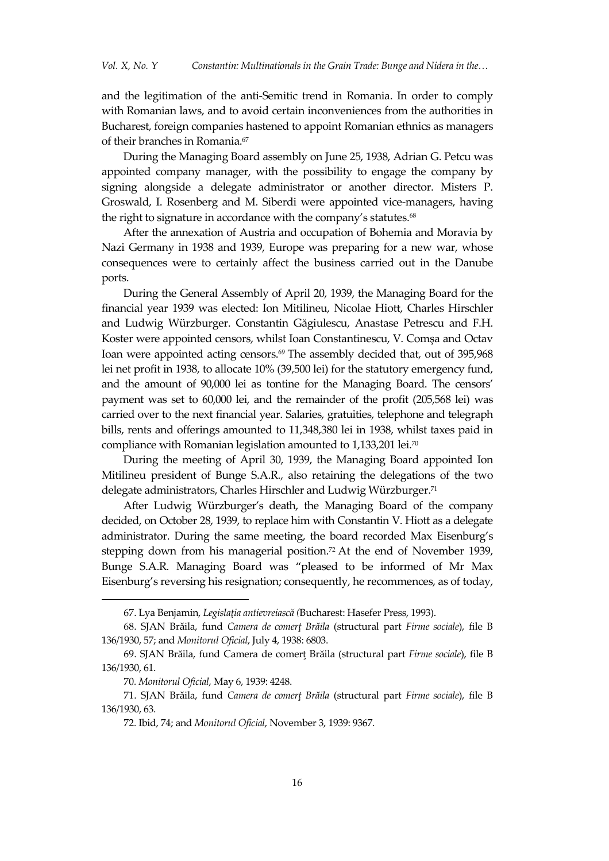and the legitimation of the anti-Semitic trend in Romania. In order to comply with Romanian laws, and to avoid certain inconveniences from the authorities in Bucharest, foreign companies hastened to appoint Romanian ethnics as managers of their branches in Romania. 67

During the Managing Board assembly on June 25, 1938, Adrian G. Petcu was appointed company manager, with the possibility to engage the company by signing alongside a delegate administrator or another director. Misters P. Groswald, I. Rosenberg and M. Siberdi were appointed vice-managers, having the right to signature in accordance with the company's statutes. 68

After the annexation of Austria and occupation of Bohemia and Moravia by Nazi Germany in 1938 and 1939, Europe was preparing for a new war, whose consequences were to certainly affect the business carried out in the Danube ports.

During the General Assembly of April 20, 1939, the Managing Board for the financial year 1939 was elected: Ion Mitilineu, Nicolae Hiott, Charles Hirschler and Ludwig Würzburger. Constantin Găgiulescu, Anastase Petrescu and F.H. Koster were appointed censors, whilst Ioan Constantinescu, V. Comşa and Octav Ioan were appointed acting censors. <sup>69</sup> The assembly decided that, out of 395,968 lei net profit in 1938, to allocate 10% (39,500 lei) for the statutory emergency fund, and the amount of 90,000 lei as tontine for the Managing Board. The censors' payment was set to 60,000 lei, and the remainder of the profit (205,568 lei) was carried over to the next financial year. Salaries, gratuities, telephone and telegraph bills, rents and offerings amounted to 11,348,380 lei in 1938, whilst taxes paid in compliance with Romanian legislation amounted to 1,133,201 lei.<sup>70</sup>

During the meeting of April 30, 1939, the Managing Board appointed Ion Mitilineu president of Bunge S.A.R., also retaining the delegations of the two delegate administrators, Charles Hirschler and Ludwig Würzburger.<sup>71</sup>

After Ludwig Würzburger's death, the Managing Board of the company decided, on October 28, 1939, to replace him with Constantin V. Hiott as a delegate administrator. During the same meeting, the board recorded Max Eisenburg's stepping down from his managerial position. <sup>72</sup> At the end of November 1939, Bunge S.A.R. Managing Board was 'pleased to be informed of Mr Max Eisenburg's reversing his resignation; consequently, he recommences, as of today,

<sup>67.</sup> Lya Benjamin, *Legislaţia antievreiască (*Bucharest: Hasefer Press, 1993).

<sup>68.</sup> SJAN Brăila, fund *Camera de comerţ Brăila* (structural part *Firme sociale*), file B 136/1930, 57; and *Monitorul Oficial*, July 4, 1938: 6803.

<sup>69.</sup> SJAN Brăila, fund Camera de comerţ Brăila (structural part *Firme sociale*), file B 136/1930, 61.

<sup>70</sup>*. Monitorul Oficial*, May 6, 1939: 4248.

<sup>71.</sup> SJAN Brăila, fund *Camera de comerţ Brăila* (structural part *Firme sociale*), file B 136/1930, 63.

<sup>72</sup>*.* Ibid, 74; and *Monitorul Oficial*, November 3, 1939: 9367.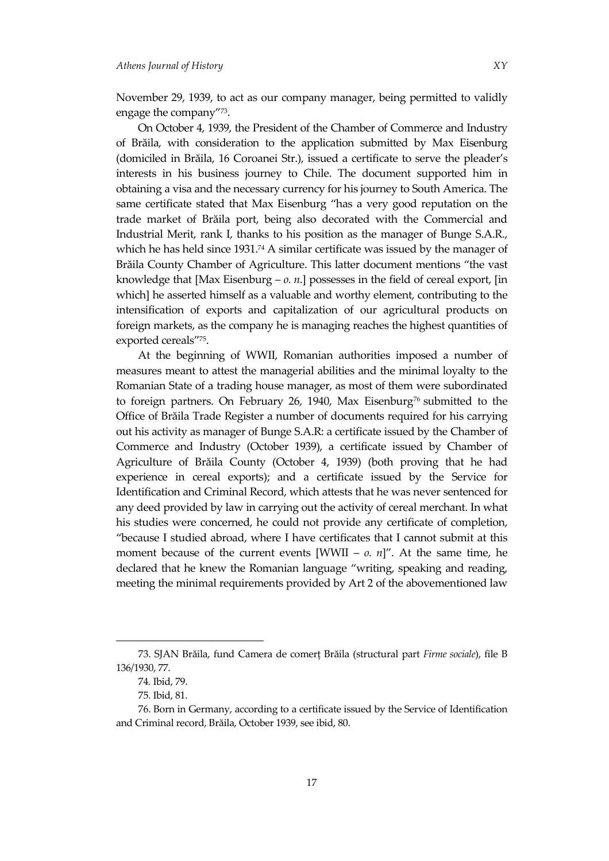November 29, 1939, to act as our company manager, being permitted to validly engage the company' 73 .

On October 4, 1939, the President of the Chamber of Commerce and Industry of Brăila, with consideration to the application submitted by Max Eisenburg (domiciled in Brăila, 16 Coroanei Str.), issued a certificate to serve the pleader's interests in his business journey to Chile. The document supported him in obtaining a visa and the necessary currency for his journey to South America. The same certificate stated that Max Eisenburg 'has a very good reputation on the trade market of Brăila port, being also decorated with the Commercial and Industrial Merit, rank I, thanks to his position as the manager of Bunge S.A.R., which he has held since  $1931<sup>74</sup>$  A similar certificate was issued by the manager of Brăila County Chamber of Agriculture. This latter document mentions 'the vast knowledge that [Max Eisenburg – *o. n*.] possesses in the field of cereal export, [in which] he asserted himself as a valuable and worthy element, contributing to the intensification of exports and capitalization of our agricultural products on foreign markets, as the company he is managing reaches the highest quantities of exported cereals' 75 .

At the beginning of WWII, Romanian authorities imposed a number of measures meant to attest the managerial abilities and the minimal loyalty to the Romanian State of a trading house manager, as most of them were subordinated to foreign partners. On February 26, 1940, Max Eisenburg<sup>76</sup> submitted to the Office of Brăila Trade Register a number of documents required for his carrying out his activity as manager of Bunge S.A.R: a certificate issued by the Chamber of Commerce and Industry (October 1939), a certificate issued by Chamber of Agriculture of Brăila County (October 4, 1939) (both proving that he had experience in cereal exports); and a certificate issued by the Service for Identification and Criminal Record, which attests that he was never sentenced for any deed provided by law in carrying out the activity of cereal merchant. In what his studies were concerned, he could not provide any certificate of completion, 'because I studied abroad, where I have certificates that I cannot submit at this moment because of the current events  $[WWII - 0. n]$ ". At the same time, he declared that he knew the Romanian language 'writing, speaking and reading, meeting the minimal requirements provided by Art 2 of the abovementioned law

<sup>73.</sup> SJAN Brăila, fund Camera de comerț Brăila (structural part *Firme sociale*), file B 136/1930, 77.

<sup>74</sup>*.* Ibid, 79.

<sup>75</sup>*.* Ibid, 81.

<sup>76.</sup> Born in Germany, according to a certificate issued by the Service of Identification and Criminal record, Brăila, October 1939, see ibid, 80.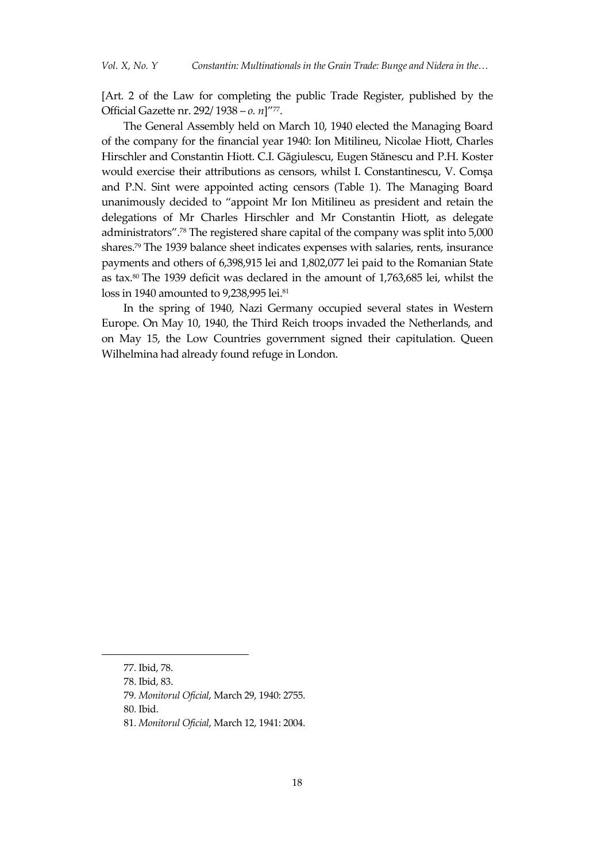[Art. 2 of the Law for completing the public Trade Register, published by the Official Gazette nr. 292/ 1938 – *o. n*]'<sup>77</sup> .

The General Assembly held on March 10, 1940 elected the Managing Board of the company for the financial year 1940: Ion Mitilineu, Nicolae Hiott, Charles Hirschler and Constantin Hiott. C.I. Găgiulescu, Eugen Stănescu and P.H. Koster would exercise their attributions as censors, whilst I. Constantinescu, V. Comşa and P.N. Sint were appointed acting censors (Table 1). The Managing Board unanimously decided to 'appoint Mr Ion Mitilineu as president and retain the delegations of Mr Charles Hirschler and Mr Constantin Hiott, as delegate administrators'. <sup>78</sup> The registered share capital of the company was split into 5,000 shares. <sup>79</sup> The 1939 balance sheet indicates expenses with salaries, rents, insurance payments and others of 6,398,915 lei and 1,802,077 lei paid to the Romanian State as tax. <sup>80</sup> The 1939 deficit was declared in the amount of 1,763,685 lei, whilst the loss in 1940 amounted to 9,238,995 lei.<sup>81</sup>

In the spring of 1940, Nazi Germany occupied several states in Western Europe. On May 10, 1940, the Third Reich troops invaded the Netherlands, and on May 15, the Low Countries government signed their capitulation. Queen Wilhelmina had already found refuge in London.

<sup>77</sup>*.* Ibid, 78.

<sup>78.</sup> Ibid, 83.

<sup>79</sup>*. Monitorul Oficial*, March 29, 1940: 2755.

<sup>80</sup>*.* Ibid.

<sup>81</sup>*. Monitorul Oficial*, March 12, 1941: 2004.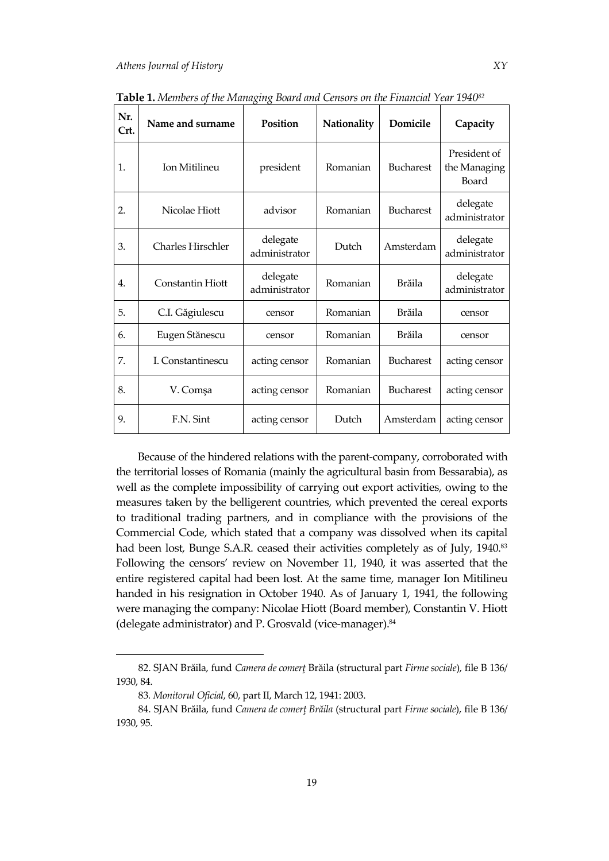| Nr.<br>Crt. | Name and surname         | O<br>$\circ$<br>Position  | Nationality | Domicile         | Capacity                              |
|-------------|--------------------------|---------------------------|-------------|------------------|---------------------------------------|
| 1.          | Ion Mitilineu            | president                 | Romanian    | <b>Bucharest</b> | President of<br>the Managing<br>Board |
| 2.          | Nicolae Hiott            | advisor                   | Romanian    | <b>Bucharest</b> | delegate<br>administrator             |
| 3.          | <b>Charles Hirschler</b> | delegate<br>administrator | Dutch       | Amsterdam        | delegate<br>administrator             |
| 4.          | <b>Constantin Hiott</b>  | delegate<br>administrator | Romanian    | <b>Brăila</b>    | delegate<br>administrator             |
| 5.          | C.I. Găgiulescu          | censor                    | Romanian    | Brăila           | censor                                |
| 6.          | Eugen Stănescu           | censor                    | Romanian    | Brăila           | censor                                |
| 7.          | I. Constantinescu        | acting censor             | Romanian    | <b>Bucharest</b> | acting censor                         |
| 8.          | V. Comşa                 | acting censor             | Romanian    | <b>Bucharest</b> | acting censor                         |
| 9.          | F.N. Sint                | acting censor             | Dutch       | Amsterdam        | acting censor                         |

**Table 1.** *Members of the Managing Board and Censors on the Financial Year 1940<sup>82</sup>*

Because of the hindered relations with the parent-company, corroborated with the territorial losses of Romania (mainly the agricultural basin from Bessarabia), as well as the complete impossibility of carrying out export activities, owing to the measures taken by the belligerent countries, which prevented the cereal exports to traditional trading partners, and in compliance with the provisions of the Commercial Code, which stated that a company was dissolved when its capital had been lost, Bunge S.A.R. ceased their activities completely as of July, 1940. 83 Following the censors' review on November 11, 1940, it was asserted that the entire registered capital had been lost. At the same time, manager Ion Mitilineu handed in his resignation in October 1940. As of January 1, 1941, the following were managing the company: Nicolae Hiott (Board member), Constantin V. Hiott (delegate administrator) and P. Grosvald (vice-manager).<sup>84</sup>

<sup>82.</sup> SJAN Brăila, fund *Camera de comerţ* Brăila (structural part *Firme sociale*), file B 136/ 1930, 84.

<sup>83</sup>*. Monitorul Oficial*, 60, part II, March 12, 1941: 2003.

<sup>84.</sup> SJAN Brăila, fund *Camera de comerţ Brăila* (structural part *Firme sociale*), file B 136/ 1930, 95.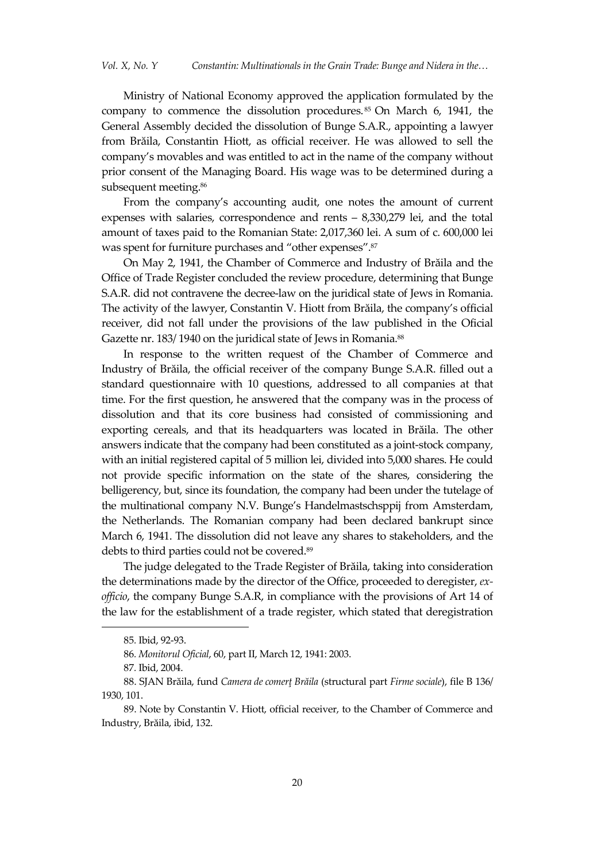Ministry of National Economy approved the application formulated by the company to commence the dissolution procedures. <sup>85</sup> On March 6, 1941, the General Assembly decided the dissolution of Bunge S.A.R., appointing a lawyer from Brăila, Constantin Hiott, as official receiver. He was allowed to sell the company's movables and was entitled to act in the name of the company without prior consent of the Managing Board. His wage was to be determined during a subsequent meeting. 86

From the company's accounting audit, one notes the amount of current expenses with salaries, correspondence and rents – 8,330,279 lei, and the total amount of taxes paid to the Romanian State: 2,017,360 lei. A sum of c. 600,000 lei was spent for furniture purchases and 'other expenses'. 87

On May 2, 1941, the Chamber of Commerce and Industry of Brăila and the Office of Trade Register concluded the review procedure, determining that Bunge S.A.R. did not contravene the decree-law on the juridical state of Jews in Romania. The activity of the lawyer, Constantin V. Hiott from Brăila, the company's official receiver, did not fall under the provisions of the law published in the Oficial Gazette nr. 183/ 1940 on the juridical state of Jews in Romania. 88

In response to the written request of the Chamber of Commerce and Industry of Brăila, the official receiver of the company Bunge S.A.R. filled out a standard questionnaire with 10 questions, addressed to all companies at that time. For the first question, he answered that the company was in the process of dissolution and that its core business had consisted of commissioning and exporting cereals, and that its headquarters was located in Brăila. The other answers indicate that the company had been constituted as a joint-stock company, with an initial registered capital of 5 million lei, divided into 5,000 shares. He could not provide specific information on the state of the shares, considering the belligerency, but, since its foundation, the company had been under the tutelage of the multinational company N.V. Bunge's Handelmastschsppij from Amsterdam, the Netherlands. The Romanian company had been declared bankrupt since March 6, 1941. The dissolution did not leave any shares to stakeholders, and the debts to third parties could not be covered. 89

The judge delegated to the Trade Register of Brăila, taking into consideration the determinations made by the director of the Office, proceeded to deregister, *exofficio*, the company Bunge S.A.R, in compliance with the provisions of Art 14 of the law for the establishment of a trade register, which stated that deregistration

<sup>85</sup>*.* Ibid, 92-93.

<sup>86</sup>*. Monitorul Oficial*, 60, part II, March 12, 1941: 2003.

<sup>87</sup>*.* Ibid, 2004.

<sup>88.</sup> SJAN Brăila, fund *Camera de comerţ Brăila* (structural part *Firme sociale*), file B 136/ 1930, 101.

<sup>89.</sup> Note by Constantin V. Hiott, official receiver, to the Chamber of Commerce and Industry, Brăila, ibid, 132.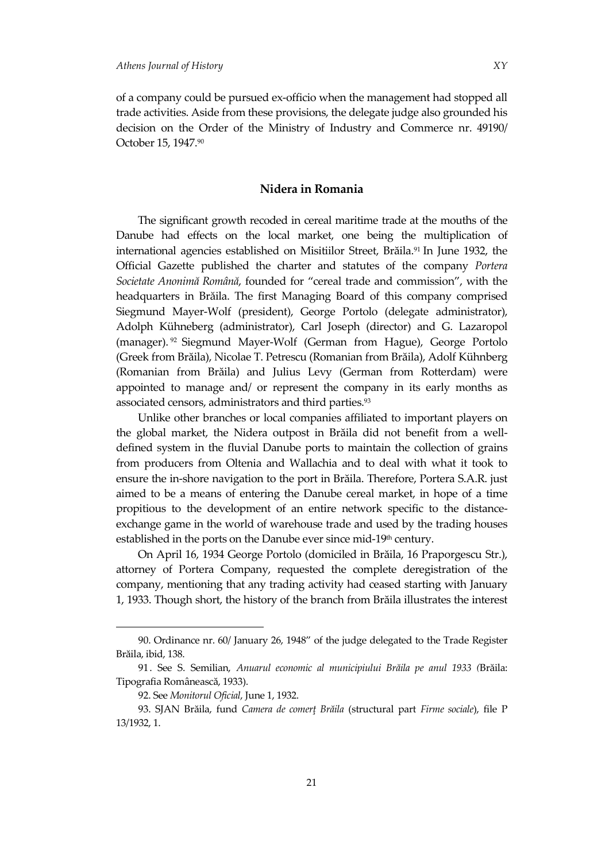of a company could be pursued ex-officio when the management had stopped all trade activities. Aside from these provisions, the delegate judge also grounded his decision on the Order of the Ministry of Industry and Commerce nr. 49190/ October 15, 1947.<sup>90</sup>

# **Nidera in Romania**

The significant growth recoded in cereal maritime trade at the mouths of the Danube had effects on the local market, one being the multiplication of international agencies established on Misitiilor Street, Brăila. <sup>91</sup> In June 1932, the Official Gazette published the charter and statutes of the company *Portera Societate Anonimă Română*, founded for 'cereal trade and commission', with the headquarters in Brăila. The first Managing Board of this company comprised Siegmund Mayer-Wolf (president), George Portolo (delegate administrator), Adolph Kühneberg (administrator), Carl Joseph (director) and G. Lazaropol (manager). <sup>92</sup> Siegmund Mayer-Wolf (German from Hague), George Portolo (Greek from Brăila), Nicolae T. Petrescu (Romanian from Brăila), Adolf Kühnberg (Romanian from Brăila) and Julius Levy (German from Rotterdam) were appointed to manage and/ or represent the company in its early months as associated censors, administrators and third parties. 93

Unlike other branches or local companies affiliated to important players on the global market, the Nidera outpost in Brăila did not benefit from a welldefined system in the fluvial Danube ports to maintain the collection of grains from producers from Oltenia and Wallachia and to deal with what it took to ensure the in-shore navigation to the port in Brăila. Therefore, Portera S.A.R. just aimed to be a means of entering the Danube cereal market, in hope of a time propitious to the development of an entire network specific to the distanceexchange game in the world of warehouse trade and used by the trading houses established in the ports on the Danube ever since mid-19<sup>th</sup> century.

On April 16, 1934 George Portolo (domiciled in Brăila, 16 Praporgescu Str.), attorney of Portera Company, requested the complete deregistration of the company, mentioning that any trading activity had ceased starting with January 1, 1933. Though short, the history of the branch from Brăila illustrates the interest

<sup>90.</sup> Ordinance nr. 60/ January 26, 1948' of the judge delegated to the Trade Register Brăila, ibid, 138.

<sup>91.</sup> See S. Semilian, *Anuarul economic al municipiului Brăila pe anul 1933 (*Brăila: Tipografia Românească, 1933).

<sup>92.</sup> See *Monitorul Oficial*, June 1, 1932.

<sup>93.</sup> SJAN Brăila, fund *Camera de comerţ Brăila* (structural part *Firme sociale*), file P 13/1932, 1.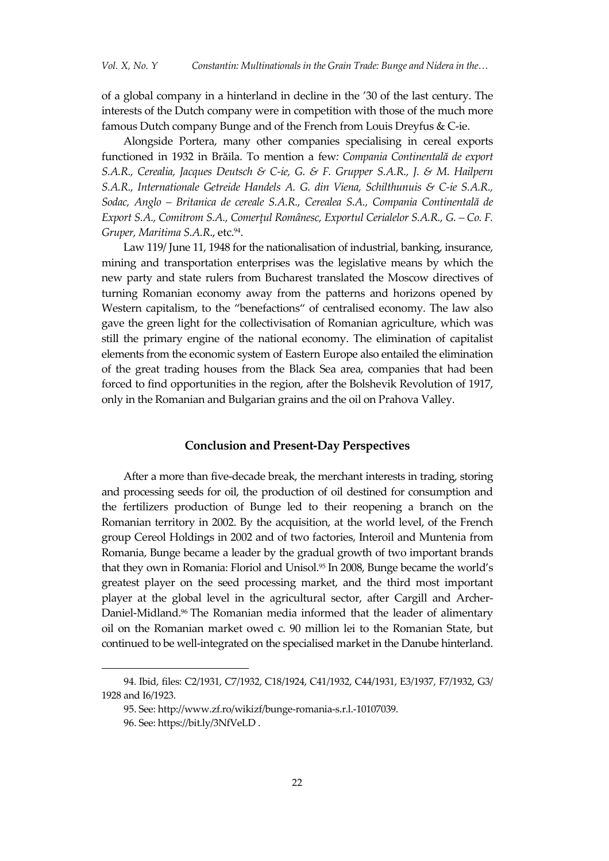of a global company in a hinterland in decline in the '30 of the last century. The interests of the Dutch company were in competition with those of the much more famous Dutch company Bunge and of the French from Louis Dreyfus & C-ie.

Alongside Portera, many other companies specialising in cereal exports functioned in 1932 in Brăila. To mention a few*: Compania Continentală de export S.A.R., Cerealia, Jacques Deutsch & C-ie, G. & F. Grupper S.A.R., J. & M. Hailpern S.A.R., Internationale Getreide Handels A. G. din Viena, Schilthunuis & C-ie S.A.R., Sodac, Anglo – Britanica de cereale S.A.R., Cerealea S.A., Compania Continentală de Export S.A., Comitrom S.A., Comerţul Românesc, Exportul Cerialelor S.A.R., G. – Co. F. Gruper, Maritima S.A.R*., etc.<sup>94</sup> .

Law 119/ June 11, 1948 for the nationalisation of industrial, banking, insurance, mining and transportation enterprises was the legislative means by which the new party and state rulers from Bucharest translated the Moscow directives of turning Romanian economy away from the patterns and horizons opened by Western capitalism, to the "benefactions" of centralised economy. The law also gave the green light for the collectivisation of Romanian agriculture, which was still the primary engine of the national economy. The elimination of capitalist elements from the economic system of Eastern Europe also entailed the elimination of the great trading houses from the Black Sea area, companies that had been forced to find opportunities in the region, after the Bolshevik Revolution of 1917, only in the Romanian and Bulgarian grains and the oil on Prahova Valley.

## **Conclusion and Present-Day Perspectives**

After a more than five-decade break, the merchant interests in trading, storing and processing seeds for oil, the production of oil destined for consumption and the fertilizers production of Bunge led to their reopening a branch on the Romanian territory in 2002. By the acquisition, at the world level, of the French group Cereol Holdings in 2002 and of two factories, Interoil and Muntenia from Romania, Bunge became a leader by the gradual growth of two important brands that they own in Romania: Floriol and Unisol.<sup>95</sup> In 2008, Bunge became the world's greatest player on the seed processing market, and the third most important player at the global level in the agricultural sector, after Cargill and Archer-Daniel-Midland.<sup>96</sup> The Romanian media informed that the leader of alimentary oil on the Romanian market owed c. 90 million lei to the Romanian State, but continued to be well-integrated on the specialised market in the Danube hinterland.

<sup>94</sup>*.* Ibid, files: C2/1931, C7/1932, C18/1924, C41/1932, C44/1931, E3/1937, F7/1932, G3/ 1928 and I6/1923.

<sup>95.</sup> See: http://www.zf.ro/wikizf/bunge-romania-s.r.l.-10107039.

<sup>96.</sup> See: https://bit.ly/3NfVeLD .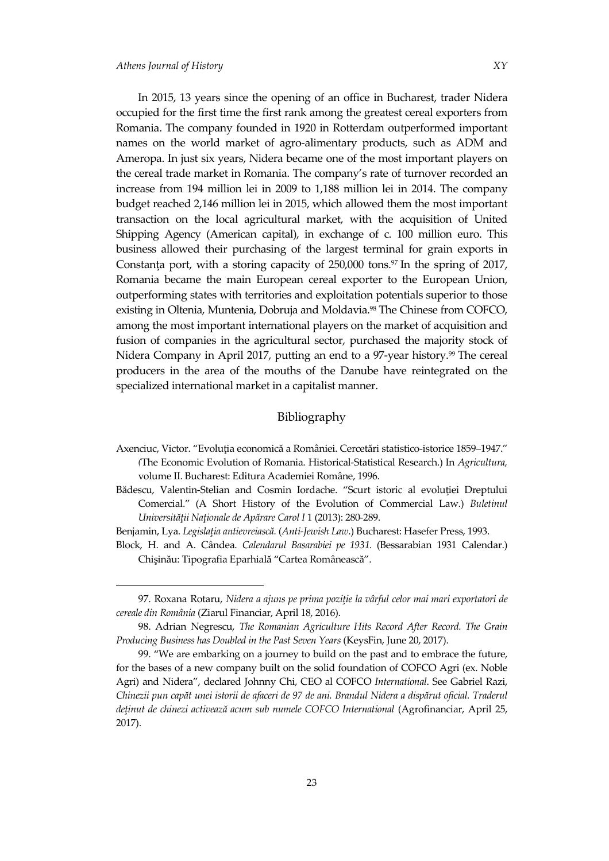1

In 2015, 13 years since the opening of an office in Bucharest, trader Nidera occupied for the first time the first rank among the greatest cereal exporters from Romania. The company founded in 1920 in Rotterdam outperformed important names on the world market of agro-alimentary products, such as ADM and Ameropa. In just six years, Nidera became one of the most important players on the cereal trade market in Romania. The company's rate of turnover recorded an increase from 194 million lei in 2009 to 1,188 million lei in 2014. The company budget reached 2,146 million lei in 2015, which allowed them the most important transaction on the local agricultural market, with the acquisition of United Shipping Agency (American capital), in exchange of c. 100 million euro. This business allowed their purchasing of the largest terminal for grain exports in Constanţa port, with a storing capacity of 250,000 tons. <sup>97</sup> In the spring of 2017, Romania became the main European cereal exporter to the European Union, outperforming states with territories and exploitation potentials superior to those existing in Oltenia, Muntenia, Dobruja and Moldavia.<sup>98</sup> The Chinese from COFCO, among the most important international players on the market of acquisition and fusion of companies in the agricultural sector, purchased the majority stock of Nidera Company in April 2017, putting an end to a 97-year history. <sup>99</sup> The cereal producers in the area of the mouths of the Danube have reintegrated on the specialized international market in a capitalist manner.

## Bibliography

- Axenciuc, Victor. 'Evoluţia economică a României. Cercetări statistico-istorice 1859–1947.' *(*The Economic Evolution of Romania. Historical-Statistical Research.) In *Agricultura,* volume II. Bucharest: Editura Academiei Române, 1996.
- Bădescu, Valentin-Stelian and Cosmin Iordache. "Scurt istoric al evoluției Dreptului Comercial.' (A Short History of the Evolution of Commercial Law.) *Buletinul Universităţii Naţionale de Apărare Carol I* 1 (2013): 280-289.
- Benjamin, Lya. *Legislaţia antievreiască.* (*Anti-Jewish Law*.) Bucharest: Hasefer Press, 1993.
- Block, H. and A. Cândea. *Calendarul Basarabiei pe 1931.* (Bessarabian 1931 Calendar.) Chişinău: Tipografia Eparhială 'Cartea Românească'.

<sup>97.</sup> Roxana Rotaru, *Nidera a ajuns pe prima poziţie la vârful celor mai mari exportatori de cereale din România* (Ziarul Financiar, April 18, 2016).

<sup>98.</sup> Adrian Negrescu, *The Romanian Agriculture Hits Record After Record. The Grain Producing Business has Doubled in the Past Seven Years* (KeysFin, June 20, 2017).

<sup>99.</sup> 'We are embarking on a journey to build on the past and to embrace the future, for the bases of a new company built on the solid foundation of COFCO Agri (ex. Noble Agri) and Nidera', declared Johnny Chi, CEO al COFCO *International*. See Gabriel Razi, *Chinezii pun capăt unei istorii de afaceri de 97 de ani. Brandul Nidera a dispărut oficial. Traderul deţinut de chinezi activează acum sub numele COFCO International* (Agrofinanciar, April 25, 2017).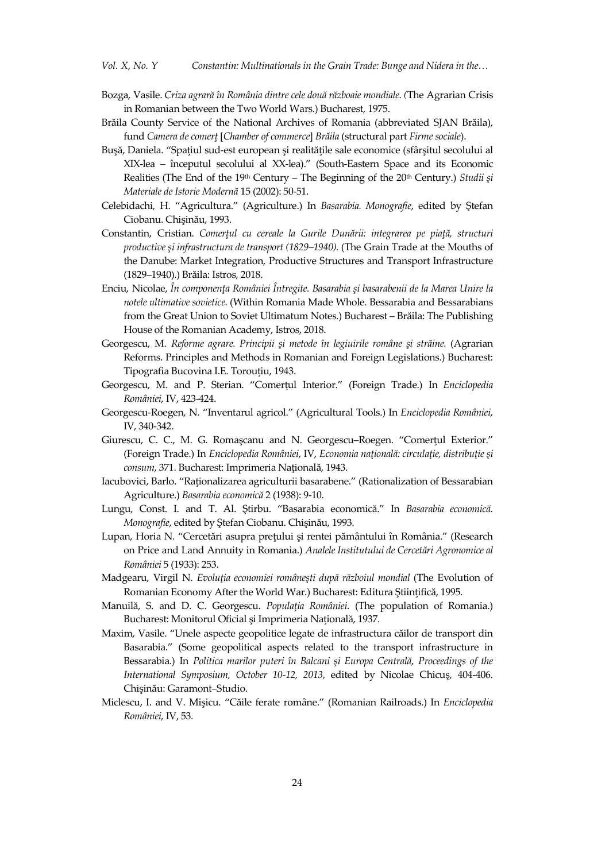- Bozga, Vasile. *Criza agrară în România dintre cele două războaie mondiale. (*The Agrarian Crisis in Romanian between the Two World Wars.) Bucharest, 1975.
- Brăila County Service of the National Archives of Romania (abbreviated SJAN Brăila), fund *Camera de comerţ* [*Chamber of commerce*] *Brăila* (structural part *Firme sociale*).
- Buşă, Daniela. 'Spaţiul sud-est european şi realităţile sale economice (sfârşitul secolului al XIX-lea – începutul secolului al XX-lea).' (South-Eastern Space and its Economic Realities (The End of the 19<sup>th</sup> Century – The Beginning of the 20<sup>th</sup> Century.) *Studii și Materiale de Istorie Modernă* 15 (2002): 50-51.
- Celebidachi, H. 'Agricultura.' (Agriculture.) In *Basarabia. Monografie*, edited by Ştefan Ciobanu. Chişinău, 1993.
- Constantin, Cristian. *Comerţul cu cereale la Gurile Dunării: integrarea pe piaţă, structuri productive şi infrastructura de transport (1829–1940).* (The Grain Trade at the Mouths of the Danube: Market Integration, Productive Structures and Transport Infrastructure (1829–1940).) Brăila: Istros, 2018.
- Enciu, Nicolae, *În componenţa României Întregite. Basarabia şi basarabenii de la Marea Unire la notele ultimative sovietice.* (Within Romania Made Whole. Bessarabia and Bessarabians from the Great Union to Soviet Ultimatum Notes.) Bucharest – Brăila: The Publishing House of the Romanian Academy, Istros, 2018.
- Georgescu, M. *Reforme agrare. Principii şi metode în legiuirile române şi străine.* (Agrarian Reforms. Principles and Methods in Romanian and Foreign Legislations.) Bucharest: Tipografia Bucovina I.E. Torouţiu, 1943.
- Georgescu, M. and P. Sterian. 'Comerţul Interior.' (Foreign Trade.) In *Enciclopedia României*, IV, 423-424.
- Georgescu-Roegen, N. 'Inventarul agricol.' (Agricultural Tools.) In *Enciclopedia României*, IV, 340-342.
- Giurescu, C. C., M. G. Romaşcanu and N. Georgescu–Roegen. 'Comerţul Exterior.' (Foreign Trade.) In *Enciclopedia României*, IV, *Economia naţională: circulaţie, distribuţie şi consum*, 371. Bucharest: Imprimeria Naţională, 1943.
- Iacubovici, Barlo. 'Raţionalizarea agriculturii basarabene.' (Rationalization of Bessarabian Agriculture.) *Basarabia economică* 2 (1938): 9-10.
- Lungu, Const. I. and T. Al. Ştirbu. 'Basarabia economică.' In *Basarabia economică. Monografie*, edited by Ştefan Ciobanu. Chişinău, 1993.
- Lupan, Horia N. 'Cercetări asupra preţului şi rentei pământului în România.' (Research on Price and Land Annuity in Romania.) *Analele Institutului de Cercetări Agronomice al României* 5 (1933): 253.
- Madgearu, Virgil N. *Evoluţia economiei româneşti după războiul mondial* (The Evolution of Romanian Economy After the World War.) Bucharest: Editura Ştiinţifică, 1995.
- Manuilă, S. and D. C. Georgescu. *Populaţia României*. (The population of Romania.) Bucharest: Monitorul Oficial şi Imprimeria Naţională, 1937.
- Maxim, Vasile. 'Unele aspecte geopolitice legate de infrastructura căilor de transport din Basarabia.' (Some geopolitical aspects related to the transport infrastructure in Bessarabia.) In *Politica marilor puteri în Balcani şi Europa Centrală*, *Proceedings of the International Symposium, October 10-12, 2013,* edited by Nicolae Chicuş, 404-406. Chişinău: Garamont–Studio.
- Miclescu, I. and V. Mişicu. 'Căile ferate române.' (Romanian Railroads.) In *Enciclopedia României*, IV, 53.